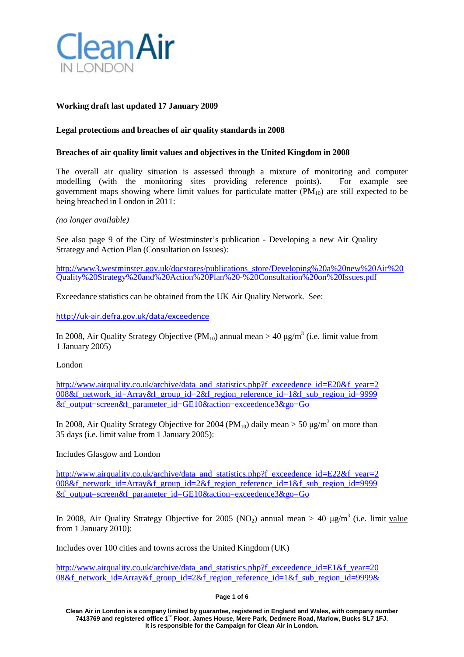

### **Working draft last updated 17 January 2009**

### **Legal protections and breaches of air quality standards in 2008**

### **Breaches of air quality limit values and objectives in the United Kingdom in 2008**

The overall air quality situation is assessed through a mixture of monitoring and computer modelling (with the monitoring sites providing reference points). For example see government maps showing where limit values for particulate matter  $(PM_{10})$  are still expected to be being breached in London in 2011:

### *(no longer available)*

See also page 9 of the City of Westminster's publication - Developing a new Air Quality Strategy and Action Plan (Consultation on Issues):

[http://www3.westminster.gov.uk/docstores/publications\\_store/Developing%20a%20new%20Air%20](http://www3.westminster.gov.uk/docstores/publications_store/Developing%20a%20new%20Air%20Quality%20Strategy%20and%20Action%20Plan%20-%20Consultation%20on%20Issues.pdf) [Quality%20Strategy%20and%20Action%20Plan%20-%20Consultation%20on%20Issues.pdf](http://www3.westminster.gov.uk/docstores/publications_store/Developing%20a%20new%20Air%20Quality%20Strategy%20and%20Action%20Plan%20-%20Consultation%20on%20Issues.pdf)

Exceedance statistics can be obtained from the UK Air Quality Network. See:

<http://uk-air.defra.gov.uk/data/exceedence>

In 2008, Air Quality Strategy Objective (PM<sub>10</sub>) annual mean > 40  $\mu$ g/m<sup>3</sup> (i.e. limit value from 1 January 2005)

London

[http://www.airquality.co.uk/archive/data\\_and\\_statistics.php?f\\_exceedence\\_id=E20&f\\_year=2](http://www.airquality.co.uk/archive/data_and_statistics.php?f_exceedence_id=E20&f_year=2) 008&f\_network\_id=Array&f\_group\_id=2&f\_region\_reference\_id=1&f\_sub\_region\_id=9999 &f\_output=screen&f\_parameter\_id=GE10&action=exceedence3&go=Go

In 2008, Air Quality Strategy Objective for 2004 (PM<sub>10</sub>) daily mean > 50  $\mu$ g/m<sup>3</sup> on more than 35 days (i.e. limit value from 1 January 2005):

Includes Glasgow and London

[http://www.airquality.co.uk/archive/data\\_and\\_statistics.php?f\\_exceedence\\_id=E22&f\\_year=2](http://www.airquality.co.uk/archive/data_and_statistics.php?f_exceedence_id=E22&f_year=2) 008&f\_network\_id=Array&f\_group\_id=2&f\_region\_reference\_id=1&f\_sub\_region\_id=9999 &f\_output=screen&f\_parameter\_id=GE10&action=exceedence3&go=Go

In 2008, Air Quality Strategy Objective for 2005 (NO<sub>2</sub>) annual mean  $> 40 \text{ ug/m}^3$  (i.e. limit value from 1 January 2010):

Includes over 100 cities and towns across the United Kingdom (UK)

[http://www.airquality.co.uk/archive/data\\_and\\_statistics.php?f\\_exceedence\\_id=E1&f\\_year=20](http://www.airquality.co.uk/archive/data_and_statistics.php?f_exceedence_id=E1&f_year=20) 08&f\_network\_id=Array&f\_group\_id=2&f\_region\_reference\_id=1&f\_sub\_region\_id=9999&

#### **Page 1 of 6**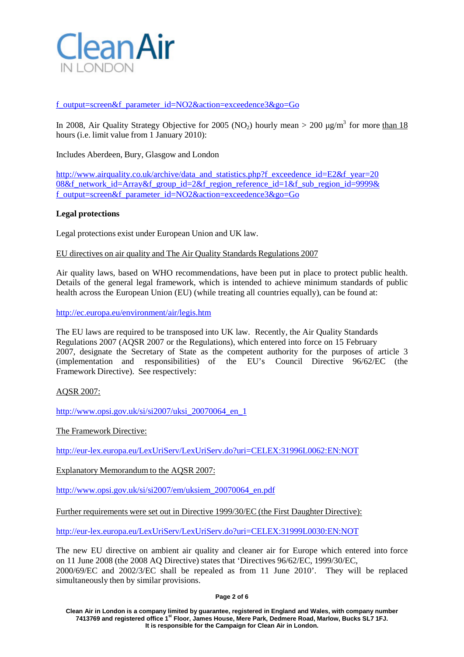

f\_output=screen&f\_parameter\_id=NO2&action=exceedence3&go=Go

In 2008, Air Quality Strategy Objective for 2005 (NO<sub>2</sub>) hourly mean > 200  $\mu$ g/m<sup>3</sup> for more than 18 hours (i.e. limit value from 1 January 2010):

Includes Aberdeen, Bury, Glasgow and London

[http://www.airquality.co.uk/archive/data\\_and\\_statistics.php?f\\_exceedence\\_id=E2&f\\_year=20](http://www.airquality.co.uk/archive/data_and_statistics.php?f_exceedence_id=E2&f_year=20) 08&f\_network\_id=Array&f\_group\_id=2&f\_region\_reference\_id=1&f\_sub\_region\_id=9999& f\_output=screen&f\_parameter\_id=NO2&action=exceedence3&go=Go

## **Legal protections**

Legal protections exist under European Union and UK law.

EU directives on air quality and The Air Quality Standards Regulations 2007

Air quality laws, based on WHO recommendations, have been put in place to protect public health. Details of the general legal framework, which is intended to achieve minimum standards of public health across the European Union (EU) (while treating all countries equally), can be found at:

<http://ec.europa.eu/environment/air/legis.htm>

The EU laws are required to be transposed into UK law. Recently, the Air Quality Standards Regulations 2007 (AQSR 2007 or the Regulations), which entered into force on 15 February 2007, designate the Secretary of State as the competent authority for the purposes of article 3 (implementation and responsibilities) of the EU's Council Directive 96/62/EC (the Framework Directive). See respectively:

### AQSR 2007:

[http://www.opsi.gov.uk/si/si2007/uksi\\_20070064\\_en\\_1](http://www.opsi.gov.uk/si/si2007/uksi_20070064_en_1)

The Framework Directive:

[http://eur-lex.europa.eu/LexUriServ/LexUriServ.do?uri=CELEX:31996L0062:EN:NOT](http://eur-lex.europa.eu/LexUriServ/LexUriServ.do?uri=CELEX%3A31996L0062%3AEN%3ANOT)

Explanatory Memorandum to the AQSR 2007:

[http://www.opsi.gov.uk/si/si2007/em/uksiem\\_20070064\\_en.pdf](http://www.opsi.gov.uk/si/si2007/em/uksiem_20070064_en.pdf)

Further requirements were set out in Directive 1999/30/EC (the First Daughter Directive):

[http://eur-lex.europa.eu/LexUriServ/LexUriServ.do?uri=CELEX:31999L0030:EN:NOT](http://eur-lex.europa.eu/LexUriServ/LexUriServ.do?uri=CELEX%3A31999L0030%3AEN%3ANOT)

The new EU directive on ambient air quality and cleaner air for Europe which entered into force on 11 June 2008 (the 2008 AQ Directive) states that 'Directives 96/62/EC, 1999/30/EC, 2000/69/EC and 2002/3/EC shall be repealed as from 11 June 2010'. They will be replaced simultaneously then by similar provisions.

**Page 2 of 6**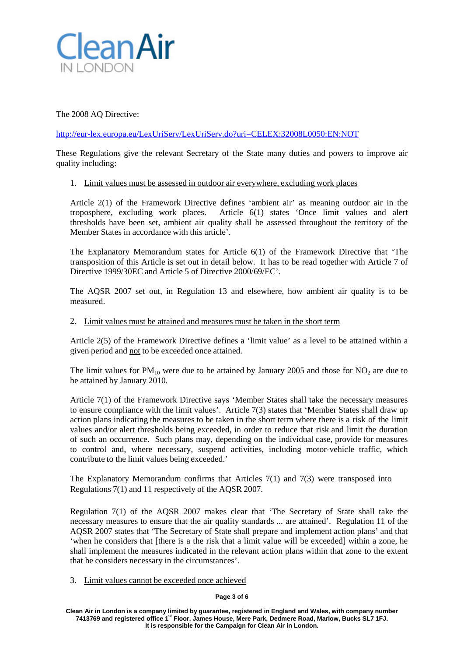

# The 2008 AQ Directive:

[http://eur-lex.europa.eu/LexUriServ/LexUriServ.do?uri=CELEX:32008L0050:EN:NOT](http://eur-lex.europa.eu/LexUriServ/LexUriServ.do?uri=CELEX%3A32008L0050%3AEN%3ANOT)

These Regulations give the relevant Secretary of the State many duties and powers to improve air quality including:

### 1. Limit values must be assessed in outdoor air everywhere, excluding work places

Article 2(1) of the Framework Directive defines 'ambient air' as meaning outdoor air in the troposphere, excluding work places. Article 6(1) states 'Once limit values and alert thresholds have been set, ambient air quality shall be assessed throughout the territory of the Member States in accordance with this article'.

The Explanatory Memorandum states for Article 6(1) of the Framework Directive that 'The transposition of this Article is set out in detail below. It has to be read together with Article 7 of Directive 1999/30EC and Article 5 of Directive 2000/69/EC'.

The AQSR 2007 set out, in Regulation 13 and elsewhere, how ambient air quality is to be measured.

### 2. Limit values must be attained and measures must be taken in the short term

Article 2(5) of the Framework Directive defines a 'limit value' as a level to be attained within a given period and not to be exceeded once attained.

The limit values for  $PM_{10}$  were due to be attained by January 2005 and those for NO<sub>2</sub> are due to be attained by January 2010.

Article 7(1) of the Framework Directive says 'Member States shall take the necessary measures to ensure compliance with the limit values'. Article 7(3) states that 'Member States shall draw up action plans indicating the measures to be taken in the short term where there is a risk of the limit values and/or alert thresholds being exceeded, in order to reduce that risk and limit the duration of such an occurrence. Such plans may, depending on the individual case, provide for measures to control and, where necessary, suspend activities, including motor-vehicle traffic, which contribute to the limit values being exceeded.'

The Explanatory Memorandum confirms that Articles 7(1) and 7(3) were transposed into Regulations 7(1) and 11 respectively of the AQSR 2007.

Regulation 7(1) of the AQSR 2007 makes clear that 'The Secretary of State shall take the necessary measures to ensure that the air quality standards ... are attained'. Regulation 11 of the AQSR 2007 states that 'The Secretary of State shall prepare and implement action plans' and that 'when he considers that [there is a the risk that a limit value will be exceeded] within a zone, he shall implement the measures indicated in the relevant action plans within that zone to the extent that he considers necessary in the circumstances'.

### 3. Limit values cannot be exceeded once achieved

#### **Page 3 of 6**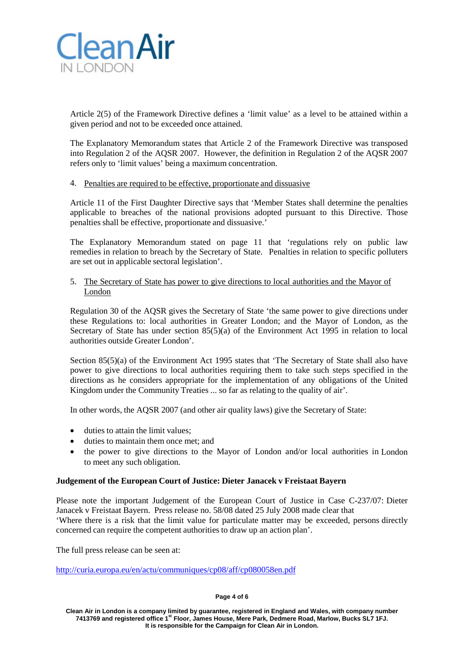

Article 2(5) of the Framework Directive defines a 'limit value' as a level to be attained within a given period and not to be exceeded once attained.

The Explanatory Memorandum states that Article 2 of the Framework Directive was transposed into Regulation 2 of the AQSR 2007. However, the definition in Regulation 2 of the AQSR 2007 refers only to 'limit values' being a maximum concentration.

### 4. Penalties are required to be effective, proportionate and dissuasive

Article 11 of the First Daughter Directive says that 'Member States shall determine the penalties applicable to breaches of the national provisions adopted pursuant to this Directive. Those penalties shall be effective, proportionate and dissuasive.'

The Explanatory Memorandum stated on page 11 that 'regulations rely on public law remedies in relation to breach by the Secretary of State. Penalties in relation to specific polluters are set out in applicable sectoral legislation'.

### 5. The Secretary of State has power to give directions to local authorities and the Mayor of London

Regulation 30 of the AQSR gives the Secretary of State 'the same power to give directions under these Regulations to: local authorities in Greater London; and the Mayor of London, as the Secretary of State has under section 85(5)(a) of the Environment Act 1995 in relation to local authorities outside Greater London'.

Section 85(5)(a) of the Environment Act 1995 states that 'The Secretary of State shall also have power to give directions to local authorities requiring them to take such steps specified in the directions as he considers appropriate for the implementation of any obligations of the United Kingdom under the Community Treaties ... so far as relating to the quality of air'.

In other words, the AQSR 2007 (and other air quality laws) give the Secretary of State:

- duties to attain the limit values;
- duties to maintain them once met: and
- the power to give directions to the Mayor of London and/or local authorities in London to meet any such obligation.

### **Judgement of the European Court of Justice: Dieter Janacek v Freistaat Bayern**

Please note the important Judgement of the European Court of Justice in Case C-237/07: Dieter Janacek v Freistaat Bayern. Press release no. 58/08 dated 25 July 2008 made clear that 'Where there is a risk that the limit value for particulate matter may be exceeded, persons directly concerned can require the competent authorities to draw up an action plan'.

The full press release can be seen at:

<http://curia.europa.eu/en/actu/communiques/cp08/aff/cp080058en.pdf>

#### **Page 4 of 6**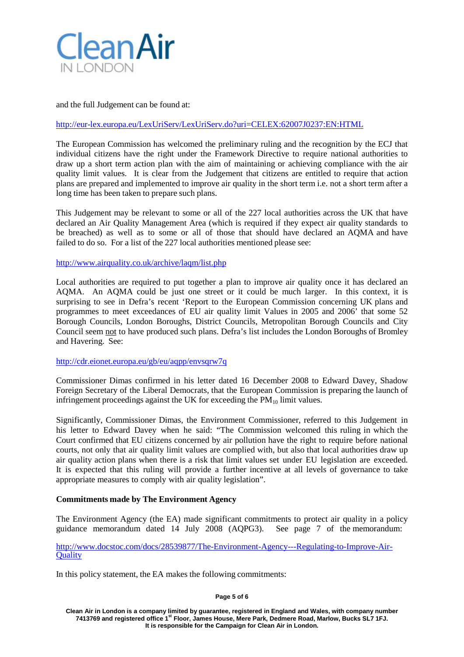

and the full Judgement can be found at:

### [http://eur-lex.europa.eu/LexUriServ/LexUriServ.do?uri=CELEX:62007J0237:EN:HTML](http://eur-lex.europa.eu/LexUriServ/LexUriServ.do?uri=CELEX%3A62007J0237%3AEN%3AHTML)

The European Commission has welcomed the preliminary ruling and the recognition by the ECJ that individual citizens have the right under the Framework Directive to require national authorities to draw up a short term action plan with the aim of maintaining or achieving compliance with the air quality limit values. It is clear from the Judgement that citizens are entitled to require that action plans are prepared and implemented to improve air quality in the short term i.e. not a short term after a long time has been taken to prepare such plans.

This Judgement may be relevant to some or all of the 227 local authorities across the UK that have declared an Air Quality Management Area (which is required if they expect air quality standards to be breached) as well as to some or all of those that should have declared an AQMA and have failed to do so. For a list of the 227 local authorities mentioned please see:

<http://www.airquality.co.uk/archive/laqm/list.php>

Local authorities are required to put together a plan to improve air quality once it has declared an AQMA. An AQMA could be just one street or it could be much larger. In this context, it is surprising to see in Defra's recent 'Report to the European Commission concerning UK plans and programmes to meet exceedances of EU air quality limit Values in 2005 and 2006' that some 52 Borough Councils, London Boroughs, District Councils, Metropolitan Borough Councils and City Council seem not to have produced such plans. Defra's list includes the London Boroughs of Bromley and Havering. See:

### <http://cdr.eionet.europa.eu/gb/eu/aqpp/envsqrw7q>

Commissioner Dimas confirmed in his letter dated 16 December 2008 to Edward Davey, Shadow Foreign Secretary of the Liberal Democrats, that the European Commission is preparing the launch of infringement proceedings against the UK for exceeding the  $PM_{10}$  limit values.

Significantly, Commissioner Dimas, the Environment Commissioner, referred to this Judgement in his letter to Edward Davey when he said: "The Commission welcomed this ruling in which the Court confirmed that EU citizens concerned by air pollution have the right to require before national courts, not only that air quality limit values are complied with, but also that local authorities draw up air quality action plans when there is a risk that limit values set under EU legislation are exceeded. It is expected that this ruling will provide a further incentive at all levels of governance to take appropriate measures to comply with air quality legislation".

### **Commitments made by The Environment Agency**

The Environment Agency (the EA) made significant commitments to protect air quality in a policy guidance memorandum dated 14 July 2008 (AQPG3). See page 7 of the memorandum:

### [http://www.docstoc.com/docs/28539877/The-Environment-Agency---Regulating-to-Improve-Air-](http://www.docstoc.com/docs/28539877/The-Environment-Agency---Regulating-to-Improve-Air-Quality)**[Quality](http://www.docstoc.com/docs/28539877/The-Environment-Agency---Regulating-to-Improve-Air-Quality)**

In this policy statement, the EA makes the following commitments:

**Page 5 of 6**